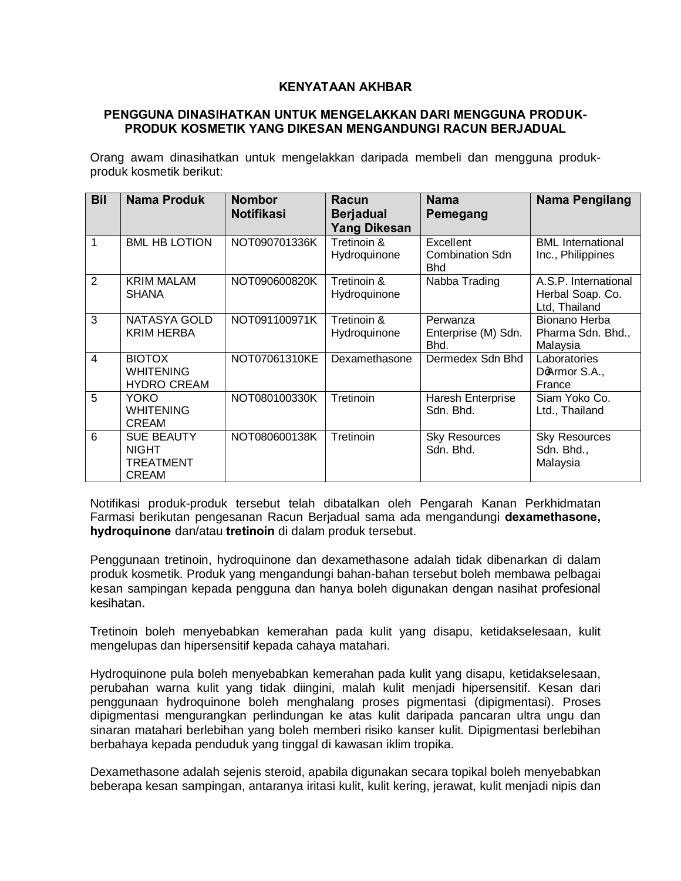## **KENYATAAN AKHBAR**

## **PENGGUNA DINASIHATKAN UNTUK MENGELAKKAN DARI MENGGUNA PRODUK-PRODUK KOSMETIK YANG DIKESAN MENGANDUNGI RACUN BERJADUAL**

Orang awam dinasihatkan untuk mengelakkan daripada membeli dan mengguna produkproduk kosmetik berikut:

| <b>Bil</b>     | <b>Nama Produk</b>                                                    | <b>Nombor</b><br><b>Notifikasi</b> | Racun<br><b>Berjadual</b><br><b>Yang Dikesan</b> | <b>Nama</b><br>Pemegang                           | Nama Pengilang                                            |
|----------------|-----------------------------------------------------------------------|------------------------------------|--------------------------------------------------|---------------------------------------------------|-----------------------------------------------------------|
| 1              | <b>BML HB LOTION</b>                                                  | NOT090701336K                      | Tretinoin &<br>Hydroquinone                      | Excellent<br><b>Combination Sdn</b><br><b>Bhd</b> | <b>BML</b> International<br>Inc., Philippines             |
| 2              | <b>KRIM MALAM</b><br><b>SHANA</b>                                     | NOT090600820K                      | Tretinoin &<br>Hydroquinone                      | Nabba Trading                                     | A.S.P. International<br>Herbal Soap. Co.<br>Ltd, Thailand |
| 3              | NATASYA GOLD<br><b>KRIM HERBA</b>                                     | NOT091100971K                      | Tretinoin &<br>Hydroquinone                      | Perwanza<br>Enterprise (M) Sdn.<br>Bhd.           | Bionano Herba<br>Pharma Sdn. Bhd.,<br>Malaysia            |
| $\overline{4}$ | <b>BIOTOX</b><br><b>WHITENING</b><br><b>HYDRO CREAM</b>               | NOT07061310KE                      | Dexamethasone                                    | Dermedex Sdn Bhd                                  | Laboratories<br>DoArmor S.A.,<br>France                   |
| $\overline{5}$ | <b>YOKO</b><br><b>WHITENING</b><br><b>CREAM</b>                       | NOT080100330K                      | Tretinoin                                        | Haresh Enterprise<br>Sdn. Bhd.                    | Siam Yoko Co.<br>Ltd., Thailand                           |
| 6              | <b>SUE BEAUTY</b><br><b>NIGHT</b><br><b>TREATMENT</b><br><b>CREAM</b> | NOT080600138K                      | Tretinoin                                        | <b>Sky Resources</b><br>Sdn. Bhd.                 | <b>Sky Resources</b><br>Sdn. Bhd.,<br>Malaysia            |

Notifikasi produk-produk tersebut telah dibatalkan oleh Pengarah Kanan Perkhidmatan Farmasi berikutan pengesanan Racun Berjadual sama ada mengandungi **dexamethasone, hydroquinone** dan/atau **tretinoin** di dalam produk tersebut.

Penggunaan tretinoin, hydroquinone dan dexamethasone adalah tidak dibenarkan di dalam produk kosmetik. Produk yang mengandungi bahan-bahan tersebut boleh membawa pelbagai kesan sampingan kepada pengguna dan hanya boleh digunakan dengan nasihat profesional kesihatan.

Tretinoin boleh menyebabkan kemerahan pada kulit yang disapu, ketidakselesaan, kulit mengelupas dan hipersensitif kepada cahaya matahari.

Hydroquinone pula boleh menyebabkan kemerahan pada kulit yang disapu, ketidakselesaan, perubahan warna kulit yang tidak diingini, malah kulit menjadi hipersensitif. Kesan dari penggunaan hydroquinone boleh menghalang proses pigmentasi (dipigmentasi). Proses dipigmentasi mengurangkan perlindungan ke atas kulit daripada pancaran ultra ungu dan sinaran matahari berlebihan yang boleh memberi risiko kanser kulit. Dipigmentasi berlebihan berbahaya kepada penduduk yang tinggal di kawasan iklim tropika.

Dexamethasone adalah sejenis steroid, apabila digunakan secara topikal boleh menyebabkan beberapa kesan sampingan, antaranya iritasi kulit, kulit kering, jerawat, kulit menjadi nipis dan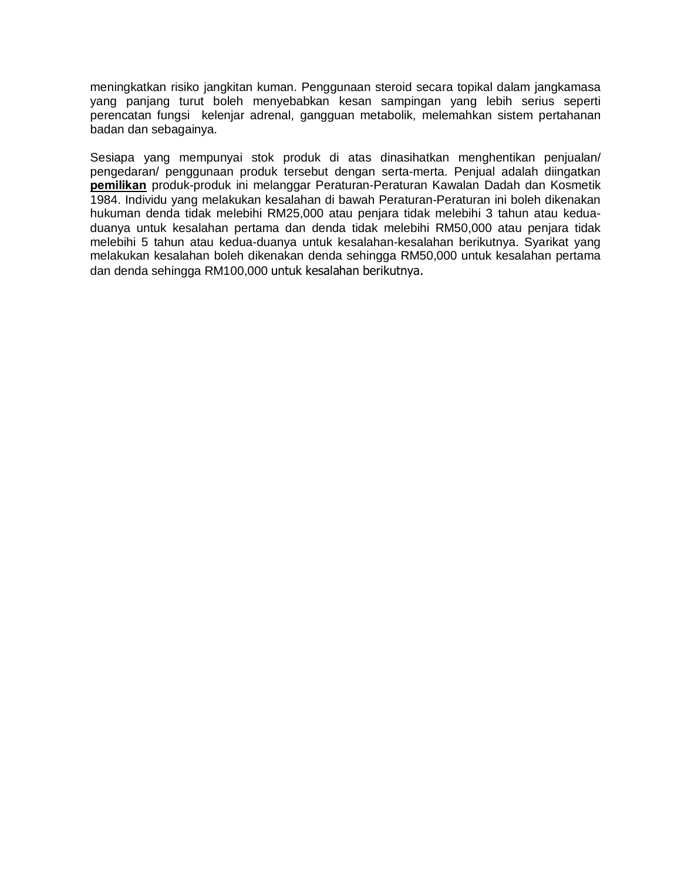meningkatkan risiko jangkitan kuman. Penggunaan steroid secara topikal dalam jangkamasa yang panjang turut boleh menyebabkan kesan sampingan yang lebih serius seperti perencatan fungsi kelenjar adrenal, gangguan metabolik, melemahkan sistem pertahanan badan dan sebagainya.

Sesiapa yang mempunyai stok produk di atas dinasihatkan menghentikan penjualan/ pengedaran/ penggunaan produk tersebut dengan serta-merta. Penjual adalah diingatkan **pemilikan** produk-produk ini melanggar Peraturan-Peraturan Kawalan Dadah dan Kosmetik 1984. Individu yang melakukan kesalahan di bawah Peraturan-Peraturan ini boleh dikenakan hukuman denda tidak melebihi RM25,000 atau penjara tidak melebihi 3 tahun atau keduaduanya untuk kesalahan pertama dan denda tidak melebihi RM50,000 atau penjara tidak melebihi 5 tahun atau kedua-duanya untuk kesalahan-kesalahan berikutnya. Syarikat yang melakukan kesalahan boleh dikenakan denda sehingga RM50,000 untuk kesalahan pertama dan denda sehingga RM100,000 untuk kesalahan berikutnya.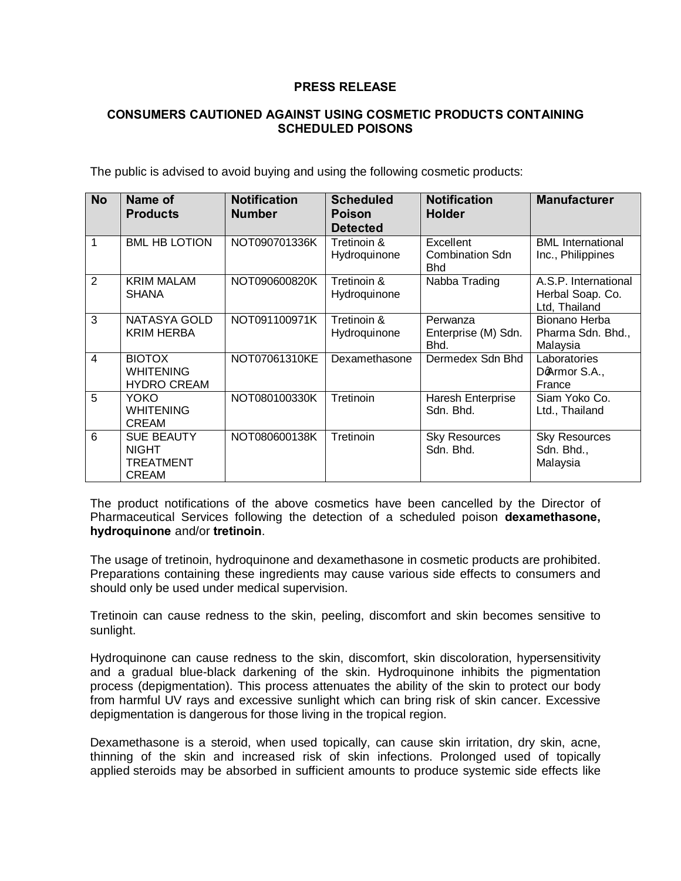## **PRESS RELEASE**

## **CONSUMERS CAUTIONED AGAINST USING COSMETIC PRODUCTS CONTAINING SCHEDULED POISONS**

The public is advised to avoid buying and using the following cosmetic products:

| <b>No</b>      | Name of<br><b>Products</b>                                            | <b>Notification</b><br><b>Number</b> | <b>Scheduled</b><br><b>Poison</b><br><b>Detected</b> | <b>Notification</b><br><b>Holder</b>              | <b>Manufacturer</b>                                       |
|----------------|-----------------------------------------------------------------------|--------------------------------------|------------------------------------------------------|---------------------------------------------------|-----------------------------------------------------------|
| $\mathbf 1$    | <b>BML HB LOTION</b>                                                  | NOT090701336K                        | Tretinoin &<br>Hydroquinone                          | Excellent<br><b>Combination Sdn</b><br><b>Bhd</b> | <b>BML</b> International<br>Inc., Philippines             |
| $\overline{2}$ | <b>KRIM MALAM</b><br><b>SHANA</b>                                     | NOT090600820K                        | Tretinoin &<br>Hydroquinone                          | Nabba Trading                                     | A.S.P. International<br>Herbal Soap. Co.<br>Ltd, Thailand |
| 3              | NATASYA GOLD<br><b>KRIM HERBA</b>                                     | NOT091100971K                        | Tretinoin &<br>Hydroquinone                          | Perwanza<br>Enterprise (M) Sdn.<br>Bhd.           | Bionano Herba<br>Pharma Sdn. Bhd.,<br>Malaysia            |
| $\overline{4}$ | <b>BIOTOX</b><br><b>WHITENING</b><br><b>HYDRO CREAM</b>               | NOT07061310KE                        | Dexamethasone                                        | Dermedex Sdn Bhd                                  | Laboratories<br>DoArmor S.A.,<br>France                   |
| 5              | <b>YOKO</b><br><b>WHITENING</b><br><b>CREAM</b>                       | NOT080100330K                        | Tretinoin                                            | Haresh Enterprise<br>Sdn. Bhd.                    | Siam Yoko Co.<br>Ltd., Thailand                           |
| 6              | <b>SUE BEAUTY</b><br><b>NIGHT</b><br><b>TREATMENT</b><br><b>CREAM</b> | NOT080600138K                        | Tretinoin                                            | <b>Sky Resources</b><br>Sdn. Bhd.                 | <b>Sky Resources</b><br>Sdn. Bhd.,<br>Malaysia            |

The product notifications of the above cosmetics have been cancelled by the Director of Pharmaceutical Services following the detection of a scheduled poison **dexamethasone, hydroquinone** and/or **tretinoin**.

The usage of tretinoin, hydroquinone and dexamethasone in cosmetic products are prohibited. Preparations containing these ingredients may cause various side effects to consumers and should only be used under medical supervision.

Tretinoin can cause redness to the skin, peeling, discomfort and skin becomes sensitive to sunlight.

Hydroquinone can cause redness to the skin, discomfort, skin discoloration, hypersensitivity and a gradual blue-black darkening of the skin. Hydroquinone inhibits the pigmentation process (depigmentation). This process attenuates the ability of the skin to protect our body from harmful UV rays and excessive sunlight which can bring risk of skin cancer. Excessive depigmentation is dangerous for those living in the tropical region.

Dexamethasone is a steroid, when used topically, can cause skin irritation, dry skin, acne, thinning of the skin and increased risk of skin infections. Prolonged used of topically applied steroids may be absorbed in sufficient amounts to produce systemic side effects like